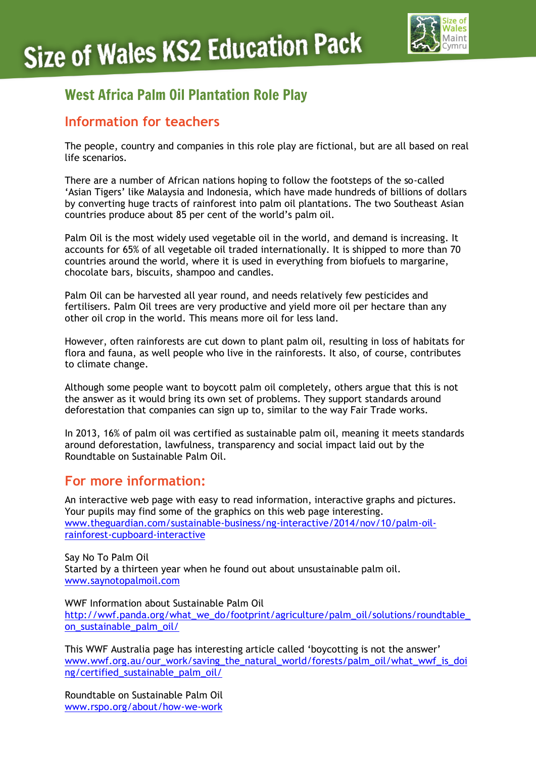

# West Africa Palm Oil Plantation Role Play

## **Information for teachers**

The people, country and companies in this role play are fictional, but are all based on real life scenarios.

There are a number of African nations hoping to follow the footsteps of the so-called 'Asian Tigers' like Malaysia and Indonesia, which have made hundreds of billions of dollars by converting huge tracts of rainforest into palm oil plantations. The two Southeast Asian countries produce about 85 per cent of the world's palm oil.

Palm Oil is the most widely used vegetable oil in the world, and demand is increasing. It accounts for 65% of all vegetable oil traded internationally. It is shipped to more than 70 countries around the world, where it is used in everything from biofuels to margarine, chocolate bars, biscuits, shampoo and candles.

Palm Oil can be harvested all year round, and needs relatively few pesticides and fertilisers. Palm Oil trees are very productive and yield more oil per hectare than any other oil crop in the world. This means more oil for less land.

However, often rainforests are cut down to plant palm oil, resulting in loss of habitats for flora and fauna, as well people who live in the rainforests. It also, of course, contributes to climate change.

Although some people want to boycott palm oil completely, others argue that this is not the answer as it would bring its own set of problems. They support standards around deforestation that companies can sign up to, similar to the way Fair Trade works.

In 2013, 16% of palm oil was certified as sustainable palm oil, meaning it meets standards around deforestation, lawfulness, transparency and social impact laid out by the Roundtable on Sustainable Palm Oil.

## **For more information:**

An interactive web page with easy to read information, interactive graphs and pictures. Your pupils may find some of the graphics on this web page interesting. [www.theguardian.com/sustainable-business/ng-interactive/2014/nov/10/palm-oil](http://www.theguardian.com/sustainable-business/ng-interactive/2014/nov/10/palm-oil-rainforest-cupboard-interactive)[rainforest-cupboard-interactive](http://www.theguardian.com/sustainable-business/ng-interactive/2014/nov/10/palm-oil-rainforest-cupboard-interactive)

Say No To Palm Oil Started by a thirteen year when he found out about unsustainable palm oil. [www.saynotopalmoil.com](http://www.saynotopalmoil.com/)

WWF Information about Sustainable Palm Oil http://wwf.panda.org/what\_we\_do/footprint/agriculture/palm\_oil/solutions/roundtable [on\\_sustainable\\_palm\\_oil/](http://wwf.panda.org/what_we_do/footprint/agriculture/palm_oil/solutions/roundtable_on_sustainable_palm_oil/)

This WWF Australia page has interesting article called 'boycotting is not the answer' [www.wwf.org.au/our\\_work/saving\\_the\\_natural\\_world/forests/palm\\_oil/what\\_wwf\\_is\\_doi](http://www.wwf.org.au/our_work/saving_the_natural_world/forests/palm_oil/what_wwf_is_doing/certified_sustainable_palm_oil/) [ng/certified\\_sustainable\\_palm\\_oil/](http://www.wwf.org.au/our_work/saving_the_natural_world/forests/palm_oil/what_wwf_is_doing/certified_sustainable_palm_oil/)

Roundtable on Sustainable Palm Oil [www.rspo.org/about/how-we-work](http://www.rspo.org/about/how-we-work)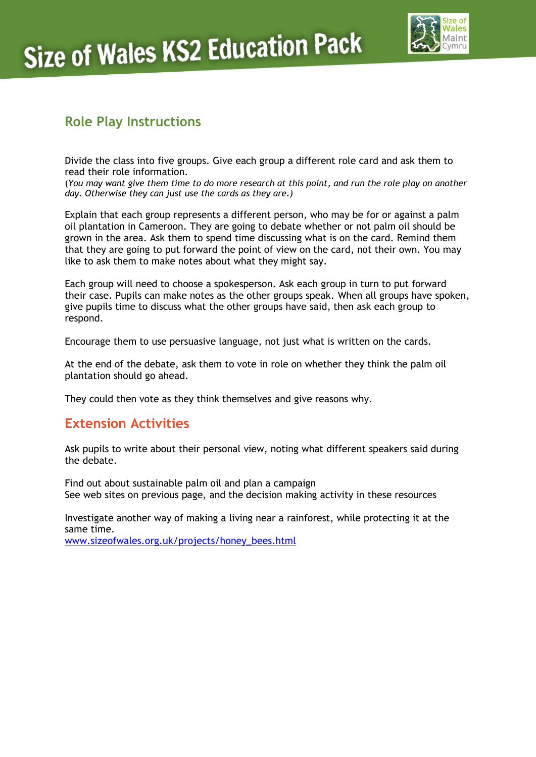

## **Role Play Instructions**

Divide the class into five groups. Give each group a different role card and ask them to read their role information.

(*You may want give them time to do more research at this point, and run the role play on another day. Otherwise they can just use the cards as they are.)*

Explain that each group represents a different person, who may be for or against a palm oil plantation in Cameroon. They are going to debate whether or not palm oil should be grown in the area. Ask them to spend time discussing what is on the card. Remind them that they are going to put forward the point of view on the card, not their own. You may like to ask them to make notes about what they might say.

Each group will need to choose a spokesperson. Ask each group in turn to put forward their case. Pupils can make notes as the other groups speak. When all groups have spoken, give pupils time to discuss what the other groups have said, then ask each group to respond.

Encourage them to use persuasive language, not just what is written on the cards.

At the end of the debate, ask them to vote in role on whether they think the palm oil plantation should go ahead.

They could then vote as they think themselves and give reasons why.

#### **Extension Activities**

Ask pupils to write about their personal view, noting what different speakers said during the debate.

Find out about sustainable palm oil and plan a campaign See web sites on previous page, and the decision making activity in these resources

Investigate another way of making a living near a rainforest, while protecting it at the same time.

[www.sizeofwales.org.uk/projects/honey\\_bees.html](http://www.sizeofwales.org.uk/projects/honey_bees.html)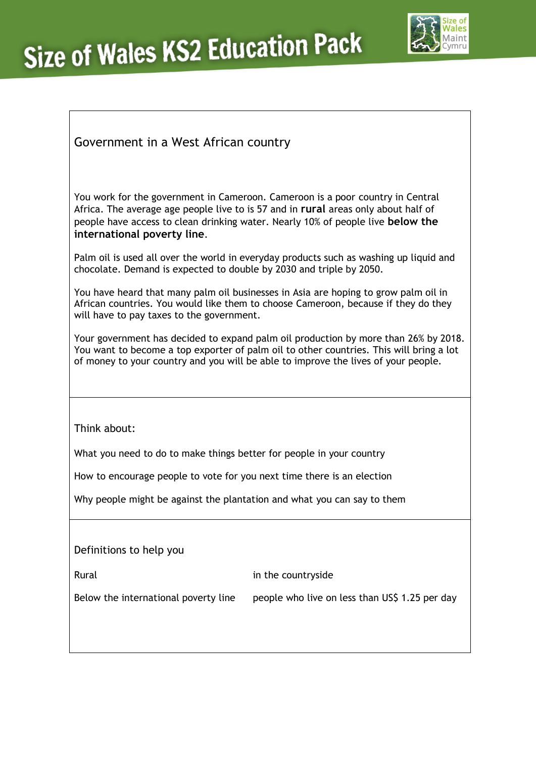# **Size of Wales KS2 Education Pack**



## Government in a West African country

You work for the government in Cameroon. Cameroon is a poor country in Central Africa. The average age people live to is 57 and in **rural** areas only about half of people have access to clean drinking water. Nearly 10% of people live **below the international poverty line**.

Palm oil is used all over the world in everyday products such as washing up liquid and chocolate. Demand is expected to double by 2030 and triple by 2050.

You have heard that many palm oil businesses in Asia are hoping to grow palm oil in African countries. You would like them to choose Cameroon, because if they do they will have to pay taxes to the government.

Your government has decided to expand palm oil production by more than 26% by 2018. You want to become a top exporter of palm oil to other countries. This will bring a lot of money to your country and you will be able to improve the lives of your people.

Think about:

What you need to do to make things better for people in your country

How to encourage people to vote for you next time there is an election

Why people might be against the plantation and what you can say to them

Definitions to help you

Rural **in the countryside** 

Below the international poverty line people who live on less than US\$ 1.25 per day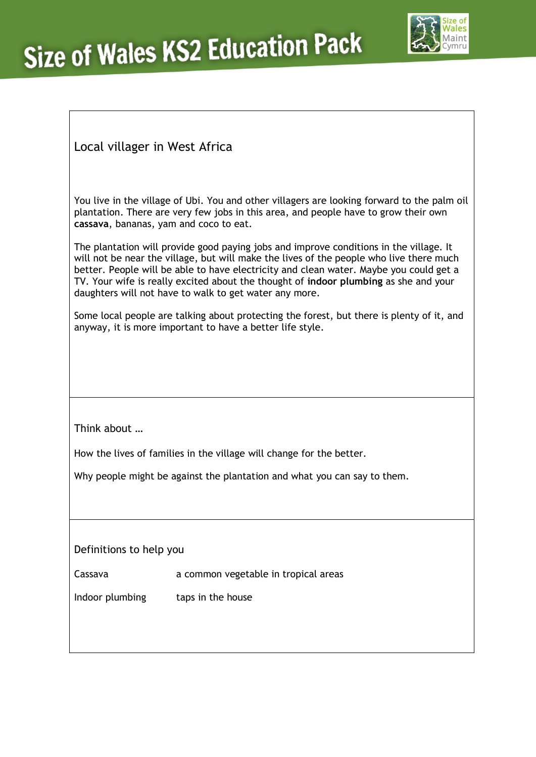

Local villager in West Africa

You live in the village of Ubi. You and other villagers are looking forward to the palm oil plantation. There are very few jobs in this area, and people have to grow their own **cassava**, bananas, yam and coco to eat.

The plantation will provide good paying jobs and improve conditions in the village. It will not be near the village, but will make the lives of the people who live there much better. People will be able to have electricity and clean water. Maybe you could get a TV. Your wife is really excited about the thought of **indoor plumbing** as she and your daughters will not have to walk to get water any more.

Some local people are talking about protecting the forest, but there is plenty of it, and anyway, it is more important to have a better life style.

Think about …

How the lives of families in the village will change for the better.

Why people might be against the plantation and what you can say to them.

Definitions to help you

Cassava a common vegetable in tropical areas

Indoor plumbing taps in the house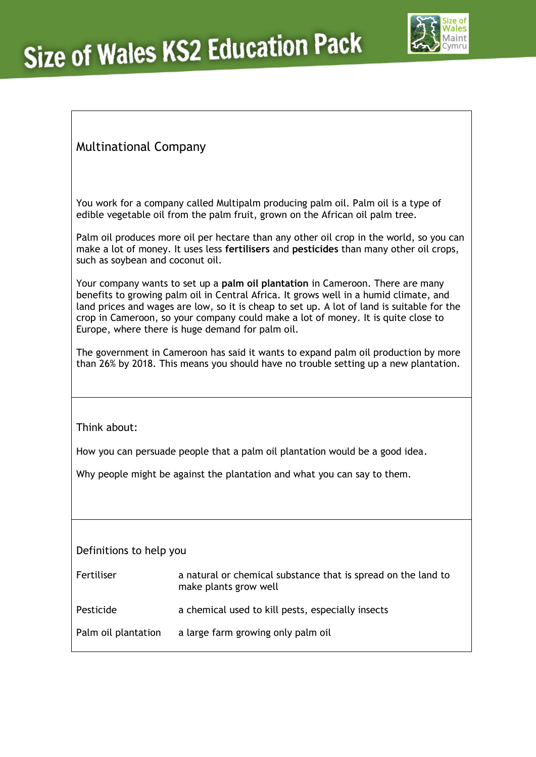

## Multinational Company

You work for a company called Multipalm producing palm oil. Palm oil is a type of edible vegetable oil from the palm fruit, grown on the African oil palm tree.

Palm oil produces more oil per hectare than any other oil crop in the world, so you can make a lot of money. It uses less **fertilisers** and **pesticides** than many other oil crops, such as soybean and coconut oil.

Your company wants to set up a **palm oil plantation** in Cameroon. There are many benefits to growing palm oil in Central Africa. It grows well in a humid climate, and land prices and wages are low, so it is cheap to set up. A lot of land is suitable for the crop in Cameroon, so your company could make a lot of money. It is quite close to Europe, where there is huge demand for palm oil.

The government in Cameroon has said it wants to expand palm oil production by more than 26% by 2018. This means you should have no trouble setting up a new plantation.

Think about:

How you can persuade people that a palm oil plantation would be a good idea.

Why people might be against the plantation and what you can say to them.

Definitions to help you

| Fertiliser | a natural or chemical substance that is spread on the land to |
|------------|---------------------------------------------------------------|
|            | make plants grow well                                         |

| Pesticide | a chemical used to kill pests, especially insects |  |
|-----------|---------------------------------------------------|--|
|-----------|---------------------------------------------------|--|

Palm oil plantation a large farm growing only palm oil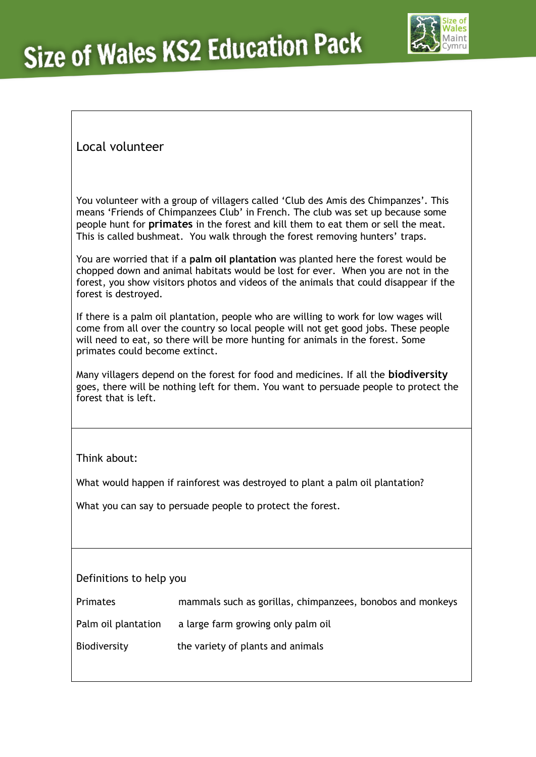

## Local volunteer

You volunteer with a group of villagers called 'Club des Amis des Chimpanzes'. This means 'Friends of Chimpanzees Club' in French. The club was set up because some people hunt for **primates** in the forest and kill them to eat them or sell the meat. This is called bushmeat. You walk through the forest removing hunters' traps.

You are worried that if a **palm oil plantation** was planted here the forest would be chopped down and animal habitats would be lost for ever. When you are not in the forest, you show visitors photos and videos of the animals that could disappear if the forest is destroyed.

If there is a palm oil plantation, people who are willing to work for low wages will come from all over the country so local people will not get good jobs. These people will need to eat, so there will be more hunting for animals in the forest. Some primates could become extinct.

Many villagers depend on the forest for food and medicines. If all the **biodiversity** goes, there will be nothing left for them. You want to persuade people to protect the forest that is left.

Think about:

What would happen if rainforest was destroyed to plant a palm oil plantation?

What you can say to persuade people to protect the forest.

#### Definitions to help you

| Primates            | mammals such as gorillas, chimpanzees, bonobos and monkeys |
|---------------------|------------------------------------------------------------|
| Palm oil plantation | a large farm growing only palm oil                         |
| Biodiversity        | the variety of plants and animals                          |